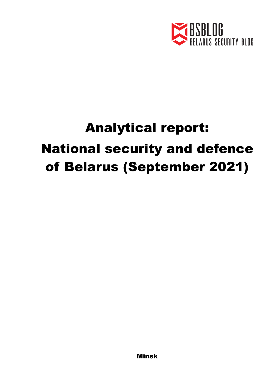

## Analytical report: National security and defence of Belarus (September 2021)

Minsk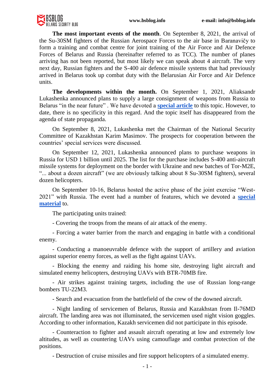

**The most important events of the month**. On September 8, 2021, the arrival of the Su-30SM fighters of the Russian Aerospace Forces to the air base in Baranavičy to form a training and combat centre for joint training of the Air Force and Air Defence Forces of Belarus and Russia (hereinafter referred to as TCC). The number of planes arriving has not been reported, but most likely we can speak about 4 aircraft. The very next day, Russian fighters and the S-400 air defence missile systems that had previously arrived in Belarus took up combat duty with the Belarusian Air Force and Air Defence units.

**The developments within the month.** On September 1, 2021, Aliaksandr Lukashenka announced plans to supply a large consignment of weapons from Russia to Belarus "in the near future" . We have devoted a **[special article](https://bsblog.info/will-russia-supply-weapons-to-belarus/)** to this topic. However, to date, there is no specificity in this regard. And the topic itself has disappeared from the agenda of state propaganda.

On September 8, 2021, Lukashenka met the Chairman of the National Security Committee of Kazakhstan Karim Masimov. The prospects for cooperation between the countries' special services were discussed.

On September 12, 2021, Lukashenka announced plans to purchase weapons in Russia for USD 1 billion until 2025. The list for the purchase includes S-400 anti-aircraft missile systems for deployment on the border with Ukraine and new batches of Tor-M2E, "... about a dozen aircraft" (we are obviously talking about 8 Su-30SM fighters), several dozen helicopters.

On September 10-16, Belarus hosted the active phase of the joint exercise "West-2021" with Russia. The event had a number of features, which we devoted a **[special](https://bsblog.info/west-2021-whats-behind-the-scenes-of-the-exercises/)  [material](https://bsblog.info/west-2021-whats-behind-the-scenes-of-the-exercises/)** to.

The participating units trained:

- Covering the troops from the means of air attack of the enemy.

- Forcing a water barrier from the march and engaging in battle with a conditional enemy.

- Conducting a manoeuvrable defence with the support of artillery and aviation against superior enemy forces, as well as the fight against UAVs.

- Blocking the enemy and raiding his home site, destroying light aircraft and simulated enemy helicopters, destroying UAVs with BTR-70MB fire.

- Air strikes against training targets, including the use of Russian long-range bombers TU-22M3.

- Search and evacuation from the battlefield of the crew of the downed aircraft.

- Night landing of servicemen of Belarus, Russia and Kazakhstan from Il-76MD aircraft. The landing area was not illuminated, the servicemen used night vision goggles. According to other information, Kazakh servicemen did not participate in this episode.

- Counteraction to fighter and assault aircraft operating at low and extremely low altitudes, as well as countering UAVs using camouflage and combat protection of the positions.

- Destruction of cruise missiles and fire support helicopters of a simulated enemy.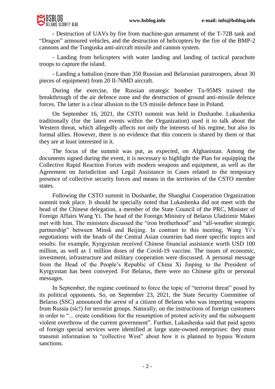

- Destruction of UAVs by fire from machine-gun armament of the T-72B tank and "Dragon" armoured vehicles, and the destruction of helicopters by the fire of the BMP-2 cannons and the Tunguska anti-aircraft missile and cannon system.

- Landing from helicopters with water landing and landing of tactical parachute troops to capture the island.

- Landing a battalion (more than 350 Russian and Belarusian paratroopers, about 30 pieces of equipment) from 20 Il-76MD aircraft.

During the exercise, the Russian strategic bomber Tu-95MS trained the breakthrough of the air defence zone and the destruction of ground anti-missile defence forces. The latter is a clear allusion to the US missile defence base in Poland.

On September 16, 2021, the CSTO summit was held in Dushanbe. Lukashenka traditionally (for the latest events within the Organization) used it to talk about the Western threat, which allegedly affects not only the interests of his regime, but also its formal allies. However, there is no evidence that this concern is shared by them or that they are at least interested in it.

The focus of the summit was put, as expected, on Afghanistan. Among the documents signed during the event, it is necessary to highlight the Plan for equipping the Collective Rapid Reaction Forces with modern weapons and equipment, as well as the Agreement on Jurisdiction and Legal Assistance in Cases related to the temporary presence of collective security forces and means in the territories of the CSTO member states.

Following the CSTO summit in Dushanbe, the Shanghai Cooperation Organization summit took place. It should be specially noted that Lukashenka did not meet with the head of the Chinese delegation, a member of the State Council of the PRC, Minister of Foreign Affairs Wang Yi. The head of the Foreign Ministry of Belarus Uladzimir Makei met with him. The ministers discussed the "iron brotherhood" and "all-weather strategic partnership" between Minsk and Beijing. In contrast to this meeting, Wang Yi's negotiations with the heads of the Central Asian countries had more specific topics and results: for example, Kyrgyzstan received Chinese financial assistance worth USD 100 million, as well as 1 million doses of the Covid-19 vaccine. The issues of economic, investment, infrastructure and military cooperation were discussed. A personal message from the Head of the People's Republic of China Xi Jinping to the President of Kyrgyzstan has been conveyed. For Belarus, there were no Chinese gifts or personal messages.

In September, the regime continued to force the topic of "terrorist threat" posed by its political opponents. So, on September 23, 2021, the State Security Committee of Belarus (SSC) announced the arrest of a citizen of Belarus who was importing weapons from Russia (sic!) for terrorist groups. Naturally, on the instructions of foreign customers in order to "... create conditions for the resumption of protest activity and the subsequent violent overthrow of the current government". Further, Lukashenka said that paid agents of foreign special services were identified at large state-owned enterprises: they must transmit information to "collective West" about how it is planned to bypass Western sanctions.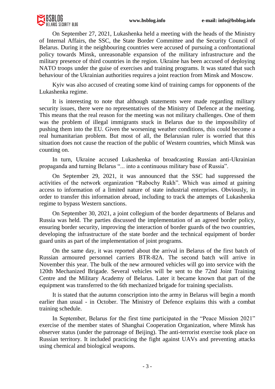

On September 27, 2021, Lukashenka held a meeting with the heads of the Ministry of Internal Affairs, the SSC, the State Border Committee and the Security Council of Belarus. During it the neighbouring countries were accused of pursuing a confrontational policy towards Minsk, unreasonable expansion of the military infrastructure and the military presence of third countries in the region. Ukraine has been accused of deploying NATO troops under the guise of exercises and training programs. It was stated that such behaviour of the Ukrainian authorities requires a joint reaction from Minsk and Moscow.

Kyiv was also accused of creating some kind of training camps for opponents of the Lukashenka regime.

It is interesting to note that although statements were made regarding military security issues, there were no representatives of the Ministry of Defence at the meeting. This means that the real reason for the meeting was not military challenges. One of them was the problem of illegal immigrants stuck in Belarus due to the impossibility of pushing them into the EU. Given the worsening weather conditions, this could become a real humanitarian problem. But most of all, the Belarusian ruler is worried that this situation does not cause the reaction of the public of Western countries, which Minsk was counting on.

In turn, Ukraine accused Lukashenka of broadcasting Russian anti-Ukrainian propaganda and turning Belarus "... into a continuous military base of Russia".

On September 29, 2021, it was announced that the SSC had suppressed the activities of the network organization "Rabochy Rukh". Which was aimed at gaining access to information of a limited nature of state industrial enterprises. Obviously, in order to transfer this information abroad, including to track the attempts of Lukashenka regime to bypass Western sanctions.

On September 30, 2021, a joint collegium of the border departments of Belarus and Russia was held. The parties discussed the implementation of an agreed border policy, ensuring border security, improving the interaction of border guards of the two countries, developing the infrastructure of the state border and the technical equipment of border guard units as part of the implementation of joint programs.

On the same day, it was reported about the arrival in Belarus of the first batch of Russian armoured personnel carriers BTR-82A. The second batch will arrive in November this year. The bulk of the new armoured vehicles will go into service with the 120th Mechanized Brigade. Several vehicles will be sent to the 72nd Joint Training Centre and the Military Academy of Belarus. Later it became known that part of the equipment was transferred to the 6th mechanized brigade for training specialists.

It is stated that the autumn conscription into the army in Belarus will begin a month earlier than usual - in October. The Ministry of Defence explains this with a combat training schedule.

In September, Belarus for the first time participated in the "Peace Mission 2021" exercise of the member states of Shanghai Cooperation Organization, where Minsk has observer status (under the patronage of Beijing). The anti-terrorist exercise took place on Russian territory. It included practicing the fight against UAVs and preventing attacks using chemical and biological weapons.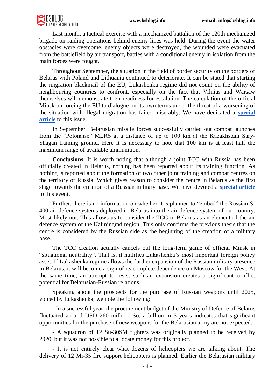

Last month, a tactical exercise with a mechanized battalion of the 120th mechanized brigade on raiding operations behind enemy lines was held. During the event the water obstacles were overcome, enemy objects were destroyed, the wounded were evacuated from the battlefield by air transport, battles with a conditional enemy in isolation from the main forces were fought.

Throughout September, the situation in the field of border security on the borders of Belarus with Poland and Lithuania continued to deteriorate. It can be stated that starting the migration blackmail of the EU, Lukashenka regime did not count on the ability of neighbouring countries to confront, especially on the fact that Vilnius and Warsaw themselves will demonstrate their readiness for escalation. The calculation of the official Minsk on forcing the EU to dialogue on its own terms under the threat of a worsening of the situation with illegal migration has failed miserably. We have dedicated a **[special](https://bsblog.info/the-field-of-political-decisions-is-sharply-narrowing/)  [article](https://bsblog.info/the-field-of-political-decisions-is-sharply-narrowing/)** to this issue.

In September, Belarusian missile forces successfully carried out combat launches from the "Polonaise" MLRS at a distance of up to 100 km at the Kazakhstani Sary-Shagan training ground. Here it is necessary to note that 100 km is at least half the maximum range of available ammunition.

**Conclusions.** It is worth noting that although a joint TCC with Russia has been officially created in Belarus, nothing has been reported about its training function. As nothing is reported about the formation of two other joint training and combat centres on the territory of Russia. Which gives reason to consider the centre in Belarus as the first stage towards the creation of a Russian military base. We have devoted a **[special article](https://bsblog.info/the-possibility-of-a-russian-military-base-in-belarus-returns-to-the-agenda/)** to this event.

Further, there is no information on whether it is planned to "embed" the Russian S-400 air defence systems deployed in Belarus into the air defence system of our country. Most likely not. This allows us to consider the TCC in Belarus as an element of the air defence system of the Kaliningrad region. This only confirms the previous thesis that the centre is considered by the Russian side as the beginning of the creation of a military base.

The TCC creation actually cancels out the long-term game of official Minsk in "situational neutrality". That is, it nullifies Lukashenka's most important foreign policy asset. If Lukashenka regime allows the further expansion of the Russian military presence in Belarus, it will become a sign of its complete dependence on Moscow for the West. At the same time, an attempt to resist such an expansion creates a significant conflict potential for Belarusian-Russian relations.

Speaking about the prospects for the purchase of Russian weapons until 2025, voiced by Lukashenka, we note the following:

- In a successful year, the procurement budget of the Ministry of Defence of Belarus fluctuated around USD 260 million. So, a billion in 5 years indicates that significant opportunities for the purchase of new weapons for the Belarusian army are not expected.

- A squadron of 12 Su-30SM fighters was originally planned to be received by 2020, but it was not possible to allocate money for this project.

- It is not entirely clear what dozens of helicopters we are talking about. The delivery of 12 Mi-35 fire support helicopters is planned. Earlier the Belarusian military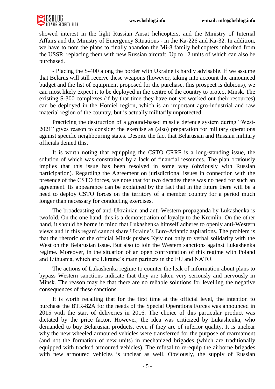

showed interest in the light Russian Ansat helicopters, and the Ministry of Internal Affairs and the Ministry of Emergency Situations - in the Ka-226 and Ka-32. In addition, we have to note the plans to finally abandon the Mi-8 family helicopters inherited from the USSR, replacing them with new Russian aircraft. Up to 12 units of which can also be purchased.

- Placing the S-400 along the border with Ukraine is hardly advisable. If we assume that Belarus will still receive these weapons (however, taking into account the announced budget and the list of equipment proposed for the purchase, this prospect is dubious), we can most likely expect it to be deployed in the centre of the country to protect Minsk. The existing S-300 complexes (if by that time they have not yet worked out their resources) can be deployed in the Homiel region, which is an important agro-industrial and raw material region of the country, but is actually militarily unprotected.

Practicing the destruction of a ground-based missile defence system during "West-2021" gives reason to consider the exercise as (also) preparation for military operations against specific neighbouring states. Despite the fact that Belarusian and Russian military officials denied this.

It is worth noting that equipping the CSTO CRRF is a long-standing issue, the solution of which was constrained by a lack of financial resources. The plan obviously implies that this issue has been resolved in some way (obviously with Russian participation). Regarding the Agreement on jurisdictional issues in connection with the presence of the CSTO forces, we note that for two decades there was no need for such an agreement. Its appearance can be explained by the fact that in the future there will be a need to deploy CSTO forces on the territory of a member country for a period much longer than necessary for conducting exercises.

The broadcasting of anti-Ukrainian and anti-Western propaganda by Lukashenka is twofold. On the one hand, this is a demonstration of loyalty to the Kremlin. On the other hand, it should be borne in mind that Lukashenka himself adheres to openly anti-Western views and in this regard cannot share Ukraine's Euro-Atlantic aspirations. The problem is that the rhetoric of the official Minsk pushes Kyiv not only to verbal solidarity with the West on the Belarusian issue. But also to join the Western sanctions against Lukashenka regime. Moreover, in the situation of an open confrontation of this regime with Poland and Lithuania, which are Ukraine's main partners in the EU and NATO.

The actions of Lukashenka regime to counter the leak of information about plans to bypass Western sanctions indicate that they are taken very seriously and nervously in Minsk. The reason may be that there are no reliable solutions for levelling the negative consequences of these sanctions.

It is worth recalling that for the first time at the official level, the intention to purchase the BTR-82A for the needs of the Special Operations Forces was announced in 2015 with the start of deliveries in 2016. The choice of this particular product was dictated by the price factor. However, the idea was criticized by Lukashenka, who demanded to buy Belarusian products, even if they are of inferior quality. It is unclear why the new wheeled armoured vehicles were transferred for the purpose of rearmament (and not the formation of new units) in mechanized brigades (which are traditionally equipped with tracked armoured vehicles). The refusal to re-equip the airborne brigades with new armoured vehicles is unclear as well. Obviously, the supply of Russian